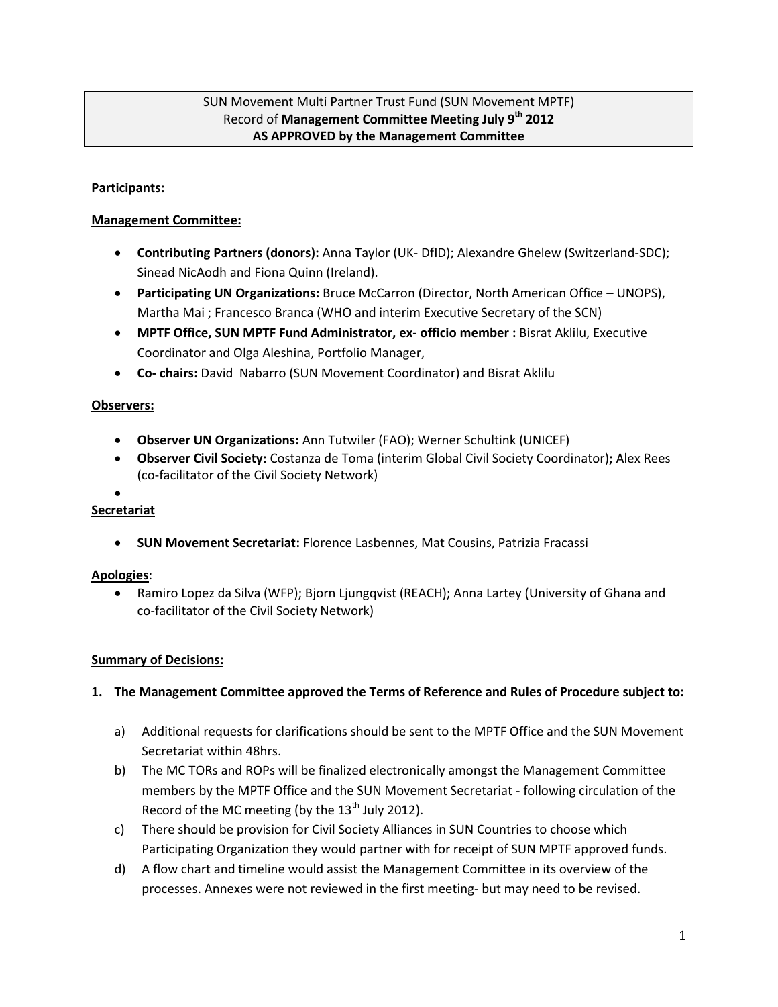# SUN Movement Multi Partner Trust Fund (SUN Movement MPTF) Record of **Management Committee Meeting July 9th 2012 AS APPROVED by the Management Committee**

## **Participants:**

## **Management Committee:**

- **Contributing Partners (donors):** Anna Taylor (UK- DfID); Alexandre Ghelew (Switzerland-SDC); Sinead NicAodh and Fiona Quinn (Ireland).
- **Participating UN Organizations:** Bruce McCarron (Director, North American Office UNOPS), Martha Mai ; Francesco Branca (WHO and interim Executive Secretary of the SCN)
- **MPTF Office, SUN MPTF Fund Administrator, ex- officio member :** Bisrat Aklilu, Executive Coordinator and Olga Aleshina, Portfolio Manager,
- **Co- chairs:** David Nabarro (SUN Movement Coordinator) and Bisrat Aklilu

## **Observers:**

- **Observer UN Organizations:** Ann Tutwiler (FAO); Werner Schultink (UNICEF)
- **Observer Civil Society:** Costanza de Toma (interim Global Civil Society Coordinator)**;** Alex Rees (co-facilitator of the Civil Society Network)
- $\bullet$

# **Secretariat**

**SUN Movement Secretariat:** Florence Lasbennes, Mat Cousins, Patrizia Fracassi

#### **Apologies**:

 Ramiro Lopez da Silva (WFP); Bjorn Ljungqvist (REACH); Anna Lartey (University of Ghana and co-facilitator of the Civil Society Network)

#### **Summary of Decisions:**

#### **1. The Management Committee approved the Terms of Reference and Rules of Procedure subject to:**

- a) Additional requests for clarifications should be sent to the MPTF Office and the SUN Movement Secretariat within 48hrs.
- b) The MC TORs and ROPs will be finalized electronically amongst the Management Committee members by the MPTF Office and the SUN Movement Secretariat - following circulation of the Record of the MC meeting (by the  $13<sup>th</sup>$  July 2012).
- c) There should be provision for Civil Society Alliances in SUN Countries to choose which Participating Organization they would partner with for receipt of SUN MPTF approved funds.
- d) A flow chart and timeline would assist the Management Committee in its overview of the processes. Annexes were not reviewed in the first meeting- but may need to be revised.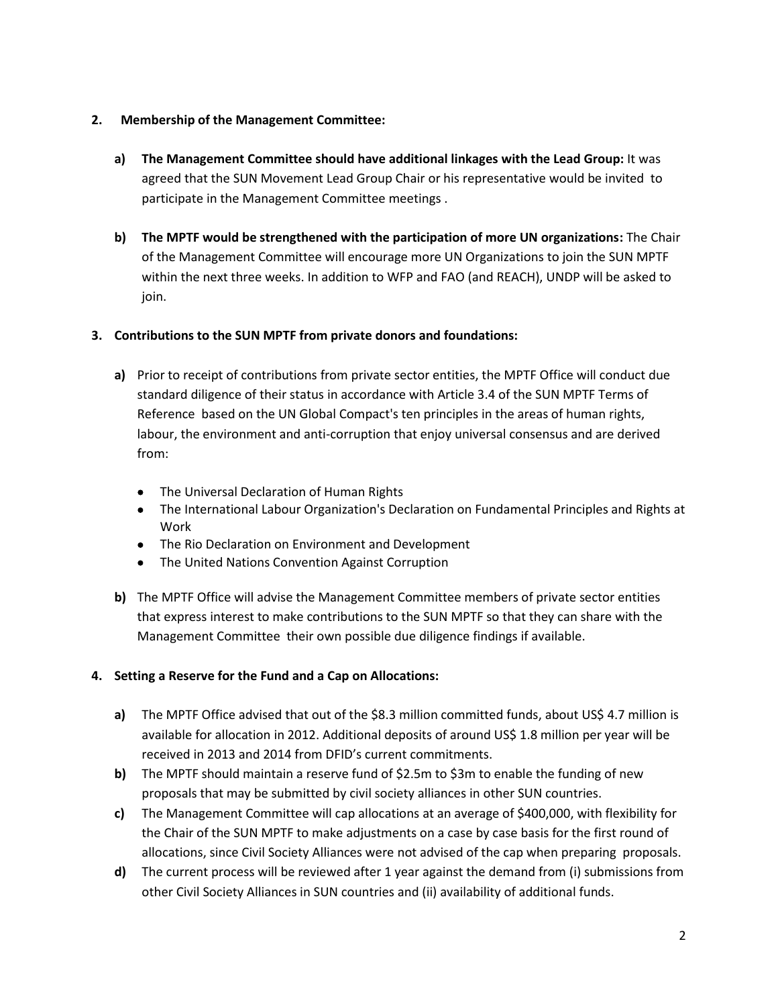# **2. Membership of the Management Committee:**

- **a) The Management Committee should have additional linkages with the Lead Group:** It was agreed that the SUN Movement Lead Group Chair or his representative would be invited to participate in the Management Committee meetings .
- **b) The MPTF would be strengthened with the participation of more UN organizations:** The Chair of the Management Committee will encourage more UN Organizations to join the SUN MPTF within the next three weeks. In addition to WFP and FAO (and REACH), UNDP will be asked to join.

## **3. Contributions to the SUN MPTF from private donors and foundations:**

- **a)** Prior to receipt of contributions from private sector entities, the MPTF Office will conduct due standard diligence of their status in accordance with Article 3.4 of the SUN MPTF Terms of Reference based on the UN Global Compact's ten principles in the areas of human rights, labour, the environment and anti-corruption that enjoy universal consensus and are derived from:
	- [The Universal Declaration of Human Rights](http://www.un.org/Overview/rights.html)
	- [The International Labour Organization's Declaration on Fundamental Principles and Rights at](http://www.ilo.org/public/english/standards/decl/declaration/text/)  [Work](http://www.ilo.org/public/english/standards/decl/declaration/text/)
	- [The Rio Declaration on Environment and Development](http://www.un.org/esa/sustdev/agenda21.htm)
	- [The United Nations Convention Against Corruption](http://www.unodc.org/unodc/en/treaties/CAC/index.html)
- **b)** The MPTF Office will advise the Management Committee members of private sector entities that express interest to make contributions to the SUN MPTF so that they can share with the Management Committee their own possible due diligence findings if available.

# **4. Setting a Reserve for the Fund and a Cap on Allocations:**

- **a)** The MPTF Office advised that out of the \$8.3 million committed funds, about US\$ 4.7 million is available for allocation in 2012. Additional deposits of around US\$ 1.8 million per year will be received in 2013 and 2014 from DFID's current commitments.
- **b)** The MPTF should maintain a reserve fund of  $$2.5m$  to  $$3m$  to enable the funding of new proposals that may be submitted by civil society alliances in other SUN countries.
- **c)** The Management Committee will cap allocations at an average of \$400,000, with flexibility for the Chair of the SUN MPTF to make adjustments on a case by case basis for the first round of allocations, since Civil Society Alliances were not advised of the cap when preparing proposals.
- **d)** The current process will be reviewed after 1 year against the demand from (i) submissions from other Civil Society Alliances in SUN countries and (ii) availability of additional funds.